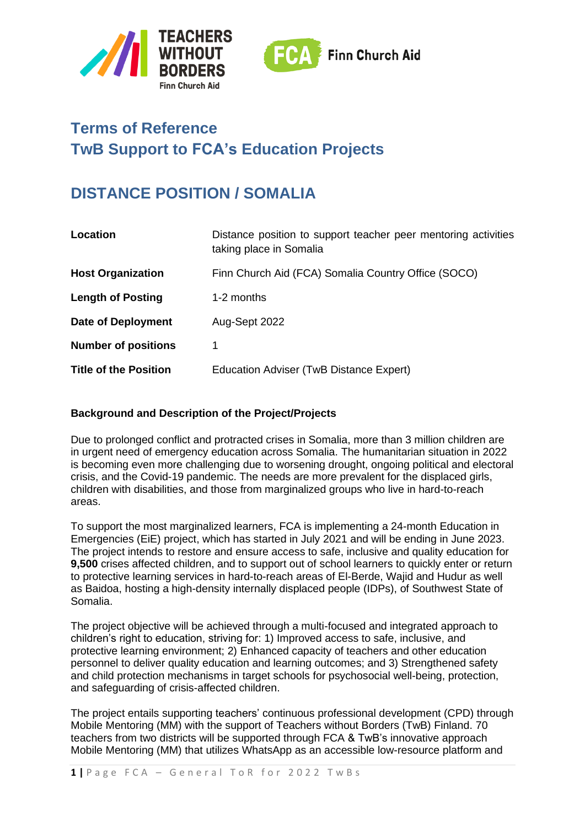



# **Terms of Reference TwB Support to FCA's Education Projects**

# **DISTANCE POSITION / SOMALIA**

| Location                     | Distance position to support teacher peer mentoring activities<br>taking place in Somalia |
|------------------------------|-------------------------------------------------------------------------------------------|
| <b>Host Organization</b>     | Finn Church Aid (FCA) Somalia Country Office (SOCO)                                       |
| <b>Length of Posting</b>     | 1-2 months                                                                                |
| <b>Date of Deployment</b>    | Aug-Sept 2022                                                                             |
| <b>Number of positions</b>   | 1                                                                                         |
| <b>Title of the Position</b> | Education Adviser (TwB Distance Expert)                                                   |

## **Background and Description of the Project/Projects**

Due to prolonged conflict and protracted crises in Somalia, more than 3 million children are in urgent need of emergency education across Somalia. The humanitarian situation in 2022 is becoming even more challenging due to worsening drought, ongoing political and electoral crisis, and the Covid-19 pandemic. The needs are more prevalent for the displaced girls, children with disabilities, and those from marginalized groups who live in hard-to-reach areas.

To support the most marginalized learners, FCA is implementing a 24-month Education in Emergencies (EiE) project, which has started in July 2021 and will be ending in June 2023. The project intends to restore and ensure access to safe, inclusive and quality education for **9,500** crises affected children, and to support out of school learners to quickly enter or return to protective learning services in hard-to-reach areas of El-Berde, Wajid and Hudur as well as Baidoa, hosting a high-density internally displaced people (IDPs), of Southwest State of Somalia.

The project objective will be achieved through a multi-focused and integrated approach to children's right to education, striving for: 1) Improved access to safe, inclusive, and protective learning environment; 2) Enhanced capacity of teachers and other education personnel to deliver quality education and learning outcomes; and 3) Strengthened safety and child protection mechanisms in target schools for psychosocial well-being, protection, and safeguarding of crisis-affected children.

The project entails supporting teachers' continuous professional development (CPD) through Mobile Mentoring (MM) with the support of Teachers without Borders (TwB) Finland. 70 teachers from two districts will be supported through FCA & TwB's innovative approach Mobile Mentoring (MM) that utilizes WhatsApp as an accessible low-resource platform and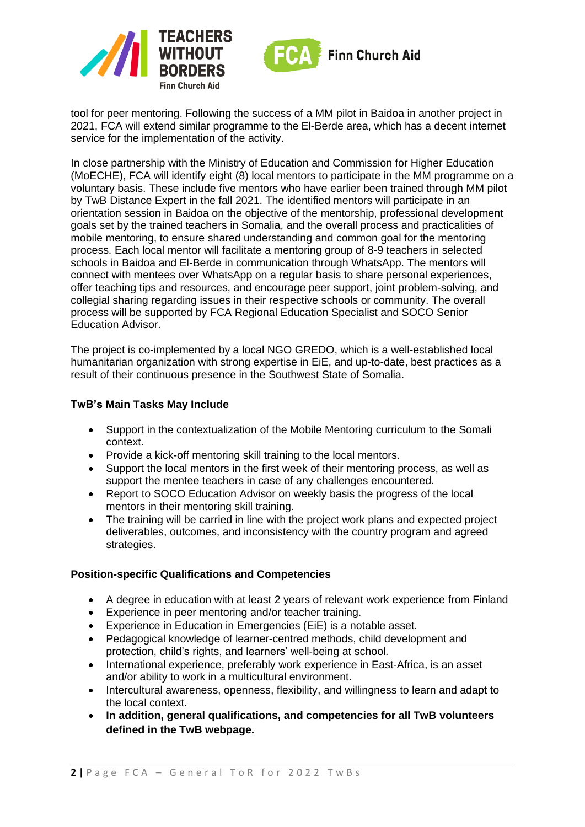



tool for peer mentoring. Following the success of a MM pilot in Baidoa in another project in 2021, FCA will extend similar programme to the El-Berde area, which has a decent internet service for the implementation of the activity.

In close partnership with the Ministry of Education and Commission for Higher Education (MoECHE), FCA will identify eight (8) local mentors to participate in the MM programme on a voluntary basis. These include five mentors who have earlier been trained through MM pilot by TwB Distance Expert in the fall 2021. The identified mentors will participate in an orientation session in Baidoa on the objective of the mentorship, professional development goals set by the trained teachers in Somalia, and the overall process and practicalities of mobile mentoring, to ensure shared understanding and common goal for the mentoring process. Each local mentor will facilitate a mentoring group of 8-9 teachers in selected schools in Baidoa and El-Berde in communication through WhatsApp. The mentors will connect with mentees over WhatsApp on a regular basis to share personal experiences, offer teaching tips and resources, and encourage peer support, joint problem-solving, and collegial sharing regarding issues in their respective schools or community. The overall process will be supported by FCA Regional Education Specialist and SOCO Senior Education Advisor.

The project is co-implemented by a local NGO GREDO, which is a well-established local humanitarian organization with strong expertise in EiE, and up-to-date, best practices as a result of their continuous presence in the Southwest State of Somalia.

#### **TwB's Main Tasks May Include**

- Support in the contextualization of the Mobile Mentoring curriculum to the Somali context.
- Provide a kick-off mentoring skill training to the local mentors.
- Support the local mentors in the first week of their mentoring process, as well as support the mentee teachers in case of any challenges encountered.
- Report to SOCO Education Advisor on weekly basis the progress of the local mentors in their mentoring skill training.
- The training will be carried in line with the project work plans and expected project deliverables, outcomes, and inconsistency with the country program and agreed strategies.

## **Position-specific Qualifications and Competencies**

- A degree in education with at least 2 years of relevant work experience from Finland
- Experience in peer mentoring and/or teacher training.
- Experience in Education in Emergencies (EiE) is a notable asset.
- Pedagogical knowledge of learner-centred methods, child development and protection, child's rights, and learners' well-being at school.
- International experience, preferably work experience in East-Africa, is an asset and/or ability to work in a multicultural environment.
- Intercultural awareness, openness, flexibility, and willingness to learn and adapt to the local context.
- **In addition, general qualifications, and competencies for all TwB volunteers defined in the TwB webpage.**